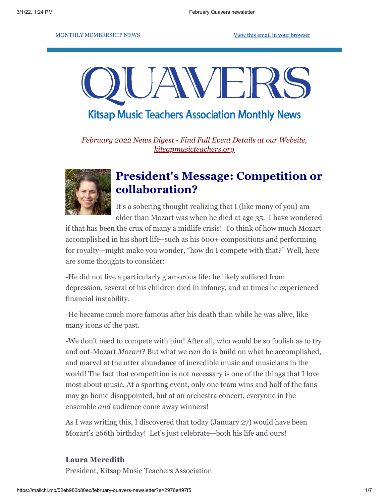#### MONTHLY MEMBERSHIP NEWS [View this email in your browser](https://mailchi.mp/52eb980b80ec/february-quavers-newsletter?e=2976e497f5)

# UAWEI

## **Kitsap Music Teachers Association Monthly News**

*February 2022 News Digest - Find Full Event Details at our Website, [kitsapmusicteachers.org](http://www.kitsapmusicteachers.org/)*



## **President's Message: Competition or collaboration?**

It's a sobering thought realizing that I (like many of you) am older than Mozart was when he died at age 35. I have wondered

if that has been the crux of many a midlife crisis! To think of how much Mozart accomplished in his short life–such as his 600+ compositions and performing for royalty—might make you wonder, "how do I compete with that?" Well, here are some thoughts to consider:

-He did not live a particularly glamorous life; he likely suffered from depression, several of his children died in infancy, and at times he experienced financial instability.

-He became much more famous after his death than while he was alive, like many icons of the past.

-We don't need to compete with him! After all, who would be so foolish as to try and out-Mozart *Mozart*? But what we *can* do is build on what he accomplished, and marvel at the utter abundance of incredible music and musicians in the world! The fact that competition is not necessary is one of the things that I love most about music. At a sporting event, only one team wins and half of the fans may go home disappointed, but at an orchestra concert, everyone in the ensemble *and* audience come away winners!

As I was writing this, I discovered that today (January 27) would have been Mozart's 266th birthday! Let's just celebrate—both his life and ours!

#### **Laura Meredith**

President, Kitsap Music Teachers Association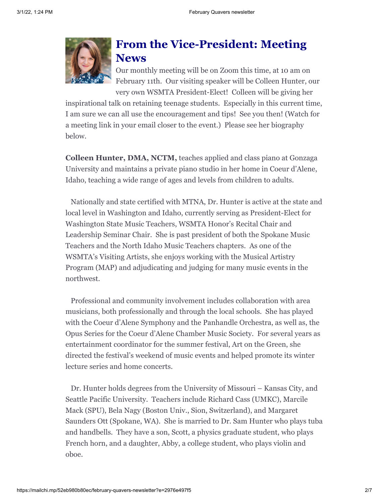

#### **From the Vice-President: Meeting News**

Our monthly meeting will be on Zoom this time, at 10 am on February 11th. Our visiting speaker will be Colleen Hunter, our very own WSMTA President-Elect! Colleen will be giving her

inspirational talk on retaining teenage students. Especially in this current time, I am sure we can all use the encouragement and tips! See you then! (Watch for a meeting link in your email closer to the event.) Please see her biography below.

**Colleen Hunter, DMA, NCTM,** teaches applied and class piano at Gonzaga University and maintains a private piano studio in her home in Coeur d'Alene, Idaho, teaching a wide range of ages and levels from children to adults.

Nationally and state certified with MTNA, Dr. Hunter is active at the state and local level in Washington and Idaho, currently serving as President-Elect for Washington State Music Teachers, WSMTA Honor's Recital Chair and Leadership Seminar Chair. She is past president of both the Spokane Music Teachers and the North Idaho Music Teachers chapters. As one of the WSMTA's Visiting Artists, she enjoys working with the Musical Artistry Program (MAP) and adjudicating and judging for many music events in the northwest.

Professional and community involvement includes collaboration with area musicians, both professionally and through the local schools. She has played with the Coeur d'Alene Symphony and the Panhandle Orchestra, as well as, the Opus Series for the Coeur d'Alene Chamber Music Society. For several years as entertainment coordinator for the summer festival, Art on the Green, she directed the festival's weekend of music events and helped promote its winter lecture series and home concerts.

Dr. Hunter holds degrees from the University of Missouri – Kansas City, and Seattle Pacific University. Teachers include Richard Cass (UMKC), Marcile Mack (SPU), Bela Nagy (Boston Univ., Sion, Switzerland), and Margaret Saunders Ott (Spokane, WA). She is married to Dr. Sam Hunter who plays tuba and handbells. They have a son, Scott, a physics graduate student, who plays French horn, and a daughter, Abby, a college student, who plays violin and oboe.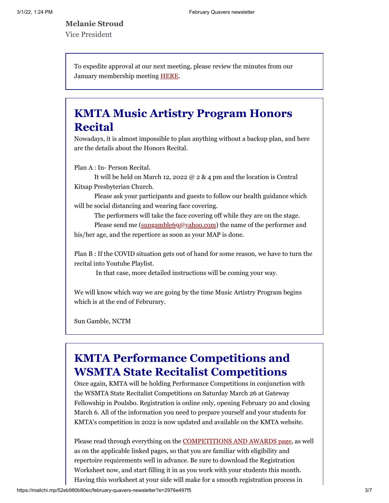**Melanie Stroud** Vice President

> To expedite approval at our next meeting, please review the minutes from our January membership meeting [HERE](https://docs.google.com/document/d/1lURZJZZrih9rH80VA2sFCawJYvglp-55/edit?usp=sharing&ouid=115662917481642438215&rtpof=true&sd=true).

## **KMTA Music Artistry Program Honors Recital**

Nowadays, it is almost impossible to plan anything without a backup plan, and here are the details about the Honors Recital.

Plan A : In- Person Recital.

It will be held on March 12, 2022 @ 2 & 4 pm and the location is Central Kitsap Presbyterian Church.

Please ask your participants and guests to follow our health guidance which will be social distancing and wearing face covering.

The performers will take the face covering off while they are on the stage.

Please send me ([sungamble69@yahoo.com](mailto:sungamble69@yahoo.com)) the name of the performer and his/her age, and the repertiore as soon as your MAP is done.

Plan B : If the COVID situation gets out of hand for some reason, we have to turn the recital into Youtube Playlist.

In that case, more detailed instructions will be coming your way.

We will know which way we are going by the time Music Artistry Program begins which is at the end of Februrary.

Sun Gamble, NCTM

### **KMTA Performance Competitions and WSMTA State Recitalist Competitions**

Once again, KMTA will be holding Performance Competitions in conjunction with the WSMTA State Recitalist Competitions on Saturday March 26 at Gateway Fellowship in Poulsbo. Registration is online only, opening February 20 and closing March 6. All of the information you need to prepare yourself and your students for KMTA's competition in 2022 is now updated and available on the KMTA website.

Please read through everything on the [COMPETITIONS AND AWARDS page](https://kitsapmusicteachers.org/competitions-and-awards/), as well as on the applicable linked pages, so that you are familiar with eligibility and repertoire requirements well in advance. Be sure to download the Registration Worksheet now, and start filling it in as you work with your students this month. Having this worksheet at your side will make for a smooth registration process in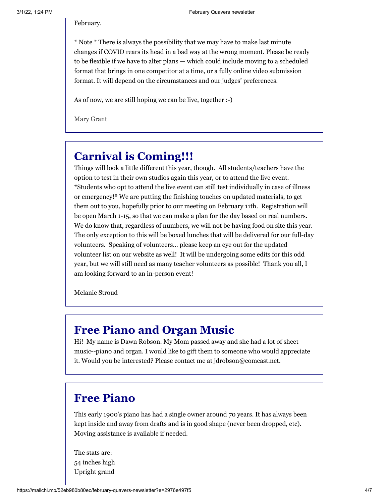\* Note \* There is always the possibility that we may have to make last minute changes if COVID rears its head in a bad way at the wrong moment. Please be ready to be flexible if we have to alter plans — which could include moving to a scheduled format that brings in one competitor at a time, or a fully online video submission format. It will depend on the circumstances and our judges' preferences.

As of now, we are still hoping we can be live, together :-)

Mary Grant

# **Carnival is Coming!!!**

Things will look a little different this year, though. All students/teachers have the option to test in their own studios again this year, or to attend the live event. \*Students who opt to attend the live event can still test individually in case of illness or emergency!\* We are putting the finishing touches on updated materials, to get them out to you, hopefully prior to our meeting on February 11th. Registration will be open March 1-15, so that we can make a plan for the day based on real numbers. We do know that, regardless of numbers, we will not be having food on site this year. The only exception to this will be boxed lunches that will be delivered for our full-day volunteers. Speaking of volunteers... please keep an eye out for the updated volunteer list on our website as well! It will be undergoing some edits for this odd year, but we will still need as many teacher volunteers as possible! Thank you all, I am looking forward to an in-person event!

Melanie Stroud

#### **Free Piano and Organ Music**

Hi! My name is Dawn Robson. My Mom passed away and she had a lot of sheet music--piano and organ. I would like to gift them to someone who would appreciate it. Would you be interested? Please contact me at jdrobson@comcast.net.

#### **Free Piano**

This early 1900's piano has had a single owner around 70 years. It has always been kept inside and away from drafts and is in good shape (never been dropped, etc). Moving assistance is available if needed.

The stats are: 54 inches high Upright grand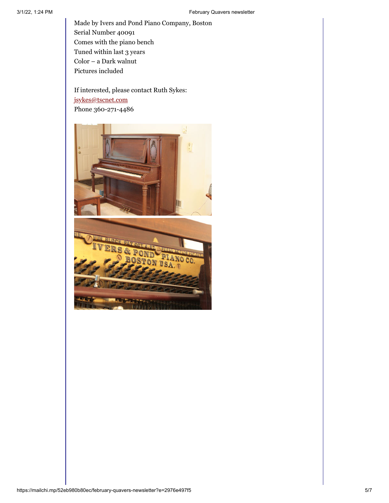Made by Ivers and Pond Piano Company, Boston Serial Number 40091 Comes with the piano bench Tuned within last 3 years Color – a Dark walnut Pictures included

If interested, please contact Ruth Sykes: [jsykes@tscnet.com](mailto:jsykes@tscnet.com) Phone 360-271-4486



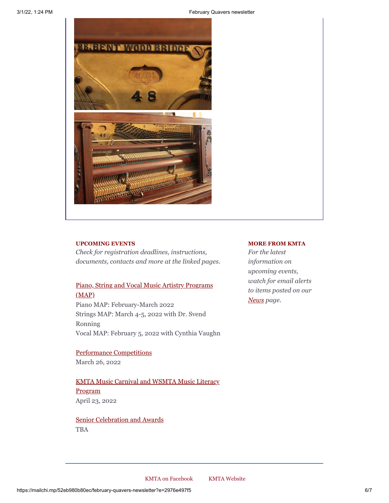3/1/22, 1:24 PM February Quavers newsletter



#### **UPCOMING EVENTS**

*Check for registration deadlines, instructions, documents, contacts and more at the linked pages.*

#### [Piano, String and Vocal Music Artistry Programs](http://www.kitsapmusicteachers.org/map/) (MAP)

Piano MAP: February-March 2022 Strings MAP: March 4-5, 2022 with Dr. Svend Ronning Vocal MAP: February 5, 2022 with Cynthia Vaughn

[Performance Competitions](http://www.kitsapmusicteachers.org/competitions-and-awards/) March 26, 2022

[KMTA Music Carnival and WSMTA Music Literacy](http://www.kitsapmusicteachers.org/kmta-music-carnival/) Program April 23, 2022

[Senior Celebration and Awards](http://www.kitsapmusicteachers.org/senior-celebration/) TBA

#### **MORE FROM KMTA**

*For the latest information on upcoming events, watch for email alerts to items posted on our [News](http://www.kitsapmusicteachers.org/news/) page.*